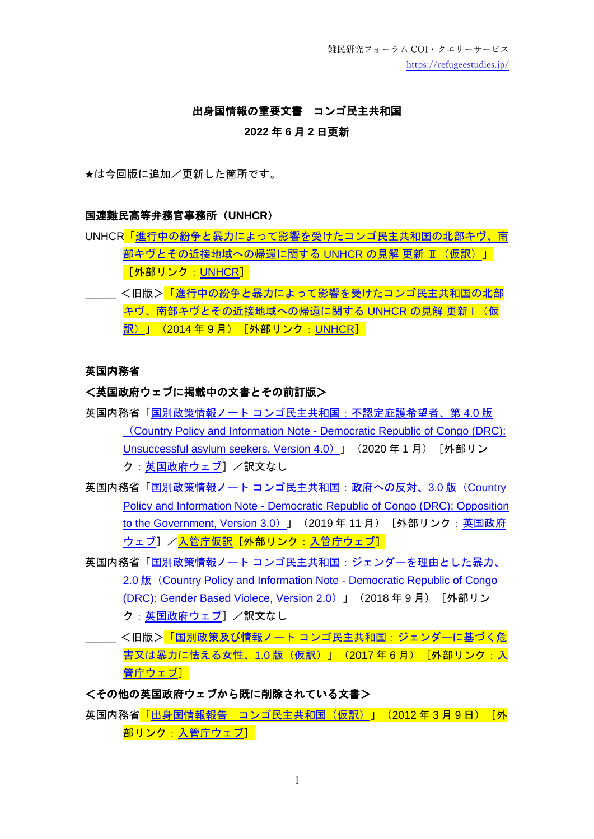難民研究フォーラム COI・クエリーサービス <https://refugeestudies.jp/>

#### 出身国情報の重要文書 コンゴ民主共和国

### **2022** 年 **6** 月 **2** 日更新

★は今回版に追加/更新した箇所です。

#### 国連難民高等弁務官事務所(**UNHCR**)

UNHCR[「進行中の紛争と暴力によって影響を受けたコンゴ民主共和国の北部キヴ、南](https://www.unhcr.org/jp/wp-content/uploads/sites/34/2020/02/201909_DRC-Position-on-Returns_JP.pdf) [部キヴとその近接地域への帰還に関する](https://www.unhcr.org/jp/wp-content/uploads/sites/34/2020/02/201909_DRC-Position-on-Returns_JP.pdf) UNHCR の見解 更新 [Ⅱ\(仮訳\)」](https://www.unhcr.org/jp/wp-content/uploads/sites/34/2020/02/201909_DRC-Position-on-Returns_JP.pdf) [外部リンク:[UNHCR](https://www.unhcr.org/jp/protection_material)] \_\_\_\_ <旧版><mark>[「進行中の紛争と暴力によって影響を受けたコンゴ民主共和国の北部](https://www.unhcr.org/jp/wp-content/uploads/sites/34/protect/UNHCR_Position_on_DRC_092014.pdf)</mark>

[キヴ、南部キヴとその近接地域への帰還に関する](https://www.unhcr.org/jp/wp-content/uploads/sites/34/protect/UNHCR_Position_on_DRC_092014.pdf) UNHCR の見解 更新 I (仮 訳) 」 (2014年9月) [外部リンク: [UNHCR](https://www.unhcr.org/jp/protection_material)]

## 英国内務省

#### <英国政府ウェブに掲載中の文書とその前訂版>

- 英国内務省「国別政策情報ノート [コンゴ民主共和国:不認定庇護希望者、第](https://assets.publishing.service.gov.uk/government/uploads/system/uploads/attachment_data/file/857567/DRC_-_CPIN_-_UAS_-_v4_-_final.pdf) 4.0 版 (Country Policy and Information Note - [Democratic Republic of Congo \(DRC\):](https://assets.publishing.service.gov.uk/government/uploads/system/uploads/attachment_data/file/857567/DRC_-_CPIN_-_UAS_-_v4_-_final.pdf)  [Unsuccessful asylum seekers, Version 4.0](https://assets.publishing.service.gov.uk/government/uploads/system/uploads/attachment_data/file/857567/DRC_-_CPIN_-_UAS_-_v4_-_final.pdf)) 」 (2020年1月) [外部リン ク[:英国政府ウェブ\]](https://www.gov.uk/government/collections/country-policy-and-information-notes)/訳文なし
- 英国内務省「国別政策情報ノート [コンゴ民主共和国:政府への反対、](https://assets.publishing.service.gov.uk/government/uploads/system/uploads/attachment_data/file/848548/DRC_-_Oppn_-_CPIN_-_v3.0__November_2019_.pdf)3.0 版 (Country [Policy and Information Note -](https://assets.publishing.service.gov.uk/government/uploads/system/uploads/attachment_data/file/848548/DRC_-_Oppn_-_CPIN_-_v3.0__November_2019_.pdf) Democratic Republic of Congo (DRC): Opposition [to the Government, Version 3.0](https://assets.publishing.service.gov.uk/government/uploads/system/uploads/attachment_data/file/848548/DRC_-_Oppn_-_CPIN_-_v3.0__November_2019_.pdf)) 」 (2019年11月) [外部リンク[:英国政府](https://www.gov.uk/government/collections/country-policy-and-information-notes) [ウェブ\]](https://www.gov.uk/government/collections/country-policy-and-information-notes) [/入管庁仮訳\[](https://www.moj.go.jp/isa/publications/materials/nyuukokukanri03_00061.html)外部リンク: 入管庁ウェブ]
- 英国内務省「国別政策情報ノート [コンゴ民主共和国:ジェンダーを理由とした暴力、](https://assets.publishing.service.gov.uk/government/uploads/system/uploads/attachment_data/file/742590/DRC._GBV._2018.v2_ext__003_.pdf) 2.0 版([Country Policy and Information Note -](https://assets.publishing.service.gov.uk/government/uploads/system/uploads/attachment_data/file/742590/DRC._GBV._2018.v2_ext__003_.pdf) Democratic Republic of Congo [\(DRC\): Gender Based Violece, Version 2.0](https://assets.publishing.service.gov.uk/government/uploads/system/uploads/attachment_data/file/742590/DRC._GBV._2018.v2_ext__003_.pdf)) 」 (2018年9月) 「外部リン ク: 英国政府ウェブ] /訳文なし
- <旧版><mark>「国別政策及び情報ノート [コンゴ民主共和国:ジェンダーに基づく危](https://www.moj.go.jp/isa/publications/materials/nyuukokukanri03_00061.html)</mark> [害又は暴力に怯える女性、](https://www.moj.go.jp/isa/publications/materials/nyuukokukanri03_00061.html)1.0 版(仮訳)」(2017 年 6 月)[外部リンク: 入 [管庁ウェブ\]](https://www.moj.go.jp/isa/publications/materials/nyuukokukanri03_00045.html)

# <その他の英国政府ウェブから既に削除されている文書>

英国内務省「出身国情報報告 [コンゴ民主共和国\(仮訳\)」](https://www.moj.go.jp/isa/publications/materials/nyuukokukanri03_00061.html)(2012 年 3 月 9 日)「外 部リンク 入管庁ウェブ]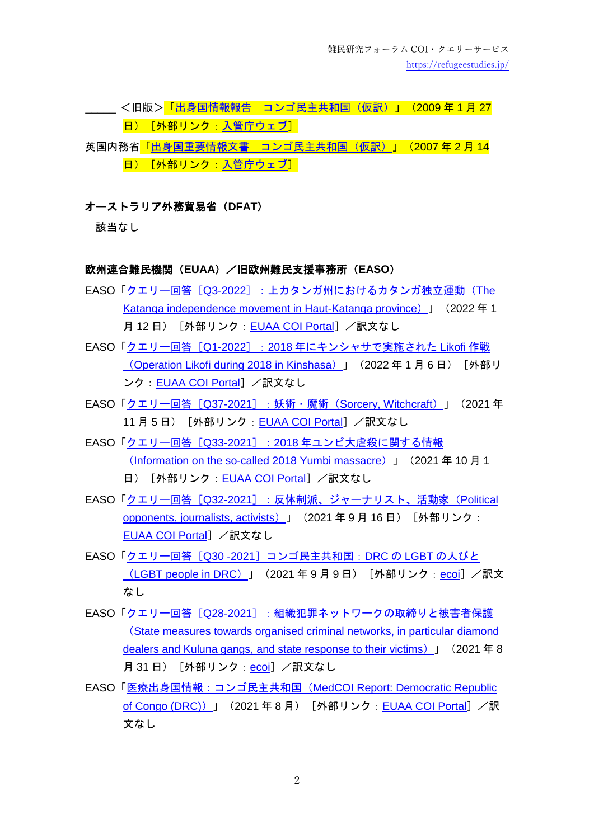難民研究フォーラム COI・クエリーサービス <https://refugeestudies.jp/>

- く旧版><mark>「出身国情報報告 [コンゴ民主共和国\(仮訳\)」](https://www.moj.go.jp/isa/publications/materials/nyuukokukanri03_00061.html)(2009 年 1 月 27</mark> 日) [外部リンク: 入管庁ウェブ]
- 英国内務省<mark>「出身国重要情報文書 [コンゴ民主共和国\(仮訳\)」](https://www.moj.go.jp/isa/publications/materials/nyuukokukanri03_00061.html)(2007 年 2 月 14</mark> 日) [外部リンク[:入管庁ウェブ\]](https://www.moj.go.jp/isa/publications/materials/nyuukokukanri03_00045.html)

## オーストラリア外務貿易省(**DFAT**)

該当なし

#### 欧州連合難民機関(**EUAA**)/旧欧州難民支援事務所(**EASO**)

- EASO「クエリー回答「Q3-2022[\]:上カタンガ州におけるカタンガ独立運動\(](https://coi.euaa.europa.eu/administration/easo/PLib/2022_01_Q3_EASO_COI_Query_Response_DRC_Katanga.pdf)The [Katanga independence movement in Haut-Katanga province](https://coi.euaa.europa.eu/administration/easo/PLib/2022_01_Q3_EASO_COI_Query_Response_DRC_Katanga.pdf)) 」 (2022年1 月12日) [外部リンク: [EUAA COI Portal](https://coi.euaa.europa.eu/Pages/home.aspx)] /訳文なし
- EASO「クエリー回答[Q1-2022]: 2018 [年にキンシャサで実施された](https://coi.euaa.europa.eu/administration/easo/PLib/2022_01_Q1_EASO_COI_Query_Response_DRC_LIKOFI_OPERATION.pdf) Likofi 作戦 (Operation Likofi [during 2018 in Kinshasa](https://coi.euaa.europa.eu/administration/easo/PLib/2022_01_Q1_EASO_COI_Query_Response_DRC_LIKOFI_OPERATION.pdf))」 (2022年1月6日) [外部リ ンク: [EUAA COI Portal](https://coi.euaa.europa.eu/Pages/home.aspx)] /訳文なし
- EASO「クエリー回答 [Q37-2021] : 妖術・魔術 ([Sorcery, Witchcraft](https://coi.euaa.europa.eu/administration/easo/PLib/2021_10_Q37_EASO_COI_Query_Response_Sorcery_DRC.pdf)) 」 (2021年 11 月 5 日) [外部リンク: [EUAA COI Portal](https://coi.euaa.europa.eu/Pages/home.aspx)] /訳文なし
- EASO「クエリー回答 [Q33-2021]: 2018 [年ユンビ大虐殺に関する情報](https://coi.euaa.europa.eu/administration/easo/PLib/2021_09_Q33_EASO_COI_Query_Response_Yumbi%202018_DRC.pdf) ([Information on the so-called 2018 Yumbi massacre](https://coi.euaa.europa.eu/administration/easo/PLib/2021_09_Q33_EASO_COI_Query_Response_Yumbi%202018_DRC.pdf))」(2021 年 10 月 1 日) [外部リンク: [EUAA COI Portal](https://coi.euaa.europa.eu/Pages/home.aspx)] /訳文なし
- EASO「クエリー回答 [Q32-2021]: 反体制派、ジャーナリスト、活動家 (Political [opponents, journalists, activists](https://coi.euaa.europa.eu/administration/easo/PLib/2021_09_Q32_EASO_COI_Query_Response_DRC_Opponents_Journalists.pdf))」 (2021年9月16日) [外部リンク: [EUAA COI Portal](https://coi.euaa.europa.eu/Pages/home.aspx)] /訳文なし
- EASO「クエリー回答 [Q30 -2021] コンゴ民主共和国: DRC の LGBT の人びと ([LGBT people in DRC](https://www.ecoi.net/en/file/local/2060187/2021_09_Q30_EASO_COI_Query_Response_LGBT_DRC.pdf))」(2021 年 9 月 9 日)[外部リンク:[ecoi](https://www.ecoi.net/)]/訳文 なし
- EASO「クエリー回答 [Q28-2021] : 組織犯罪ネットワークの取締りと被害者保護 ([State measures towards organised criminal networks, in particular diamond](https://www.ecoi.net/en/file/local/2059367/2021_08_Q28_EASO_COI_Query_Response_DRC_criminal_gangs.pdf)  [dealers and Kuluna gangs, and state response to their victims](https://www.ecoi.net/en/file/local/2059367/2021_08_Q28_EASO_COI_Query_Response_DRC_criminal_gangs.pdf)) 」 (2021年8 月 31 日) [外部リンク: [ecoi](https://www.ecoi.net/)] /訳文なし
- EASO[「医療出身国情報:コンゴ民主共和国\(](https://coi.euaa.europa.eu/administration/easo/PLib/2021_08_EASO_MedCOI_Report_DRC_update.pdf)MedCOI Report: Democratic Republic [of Congo \(DRC\)](https://coi.euaa.europa.eu/administration/easo/PLib/2021_08_EASO_MedCOI_Report_DRC_update.pdf))」 (2021年8月) [外部リンク: [EUAA COI Portal](https://coi.euaa.europa.eu/Pages/home.aspx)] /訳 文なし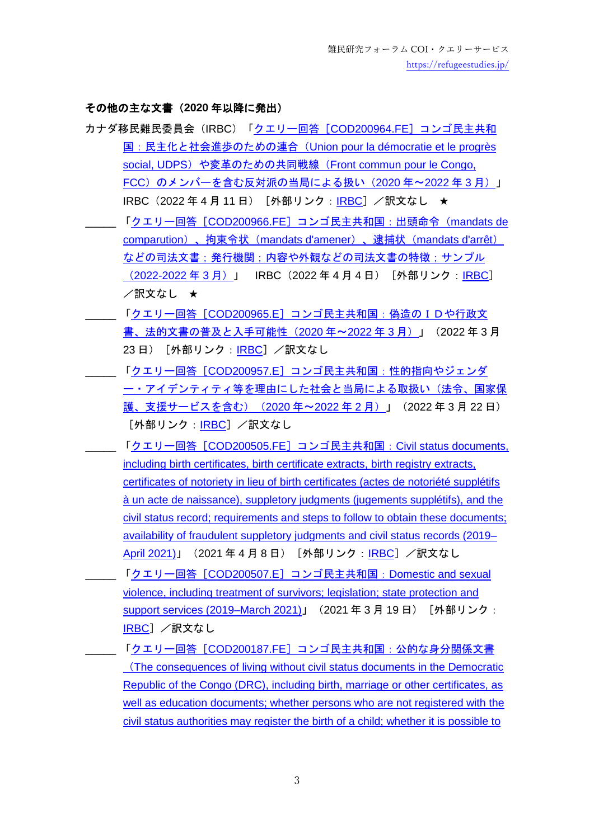### その他の主な文書(**2020** 年以降に発出)

- カナダ移民難民委員会(IRBC)「クエリー回答[COD200964.FE[\]コンゴ民主共和](https://irb-cisr.gc.ca/en/country-information/rir/Pages/index.aspx?doc=458583&pls=1) 国:民主化と社会進歩のための連合([Union pour la démocratie et le progrès](https://irb-cisr.gc.ca/en/country-information/rir/Pages/index.aspx?doc=458583&pls=1)  social, UDPS) や変革のための共同戦線 (Front commun pour le Congo, FCC[\)のメンバーを含む反対派の当局による扱い\(](https://irb-cisr.gc.ca/en/country-information/rir/Pages/index.aspx?doc=458583&pls=1)2020 年〜2022 年 3 月)」 [IRBC](https://irb-cisr.gc.ca/en/country-information/Pages/index.aspx) (2022年4月11日) [外部リンク:IRBC] /訳文なし ★
	- \_\_\_\_\_ 「クエリー回答[COD200966.FE[\]コンゴ民主共和国:出頭命令\(](https://irb-cisr.gc.ca/en/country-information/rir/Pages/index.aspx?doc=458580&pls=1)mandats de comparution)、拘束令状([mandats d'amener](https://irb-cisr.gc.ca/en/country-information/rir/Pages/index.aspx?doc=458580&pls=1))、逮捕状(mandats d'arrêt) [などの司法文書;発行機関;内容や外観などの司法文書の特徴;サンプル](https://irb-cisr.gc.ca/en/country-information/rir/Pages/index.aspx?doc=458580&pls=1) ([2022-2022](https://irb-cisr.gc.ca/en/country-information/rir/Pages/index.aspx?doc=458580&pls=1) 年 3 月)」 [IRBC](https://irb-cisr.gc.ca/en/country-information/Pages/index.aspx)(2022 年 4 月 4 日)[外部リンク:IRBC] /訳文なし ★
- 「クエリー回答[COD200965.E[\]コンゴ民主共和国:偽造のIDや行政文](https://irb-cisr.gc.ca/en/country-information/rir/Pages/index.aspx?doc=458568&pls=1) [書、法的文書の普及と入手可能性\(](https://irb-cisr.gc.ca/en/country-information/rir/Pages/index.aspx?doc=458568&pls=1)2020 年~2022 年 3 月)」(2022 年 3 月 23日) [外部リンク: [IRBC](https://irb-cisr.gc.ca/en/country-information/Pages/index.aspx)] /訳文なし
	- \_\_\_\_\_ 「クエリー回答[COD200957.E[\]コンゴ民主共和国:性的指向やジェンダ](https://irb-cisr.gc.ca/en/country-information/rir/Pages/index.aspx?doc=458565&pls=1) [ー・アイデンティティ等を理由にした社会と当局による取扱い\(法令、国家保](https://irb-cisr.gc.ca/en/country-information/rir/Pages/index.aspx?doc=458565&pls=1) 護、支援サービスを含む) (2020年~2022年2月)」 (2022年3月 22日) [外部リンク:[IRBC](https://irb-cisr.gc.ca/en/country-information/Pages/index.aspx)] /訳文なし
- \_\_\_\_\_ 「クエリー回答[COD200505.FE]コンゴ民主共和国:[Civil status documents,](https://irb-cisr.gc.ca/en/country-information/rir/Pages/index.aspx?doc=458328&pls=1)  [including birth certificates, birth certificate extracts, birth registry extracts,](https://irb-cisr.gc.ca/en/country-information/rir/Pages/index.aspx?doc=458328&pls=1)  [certificates of notoriety in lieu of birth certificates \(actes de notoriété supplétifs](https://irb-cisr.gc.ca/en/country-information/rir/Pages/index.aspx?doc=458328&pls=1)  [à un acte de naissance\), suppletory judgments \(jugements supplétifs\), and the](https://irb-cisr.gc.ca/en/country-information/rir/Pages/index.aspx?doc=458328&pls=1)  [civil status record; requirements and steps to follow to obtain these documents;](https://irb-cisr.gc.ca/en/country-information/rir/Pages/index.aspx?doc=458328&pls=1)  [availability of fraudulent suppletory judgments and civil status records \(2019–](https://irb-cisr.gc.ca/en/country-information/rir/Pages/index.aspx?doc=458328&pls=1) [April 2021\)](https://irb-cisr.gc.ca/en/country-information/rir/Pages/index.aspx?doc=458328&pls=1)」 (2021年4月8日) [外部リンク:[IRBC](https://irb-cisr.gc.ca/en/Pages/index.aspx)] /訳文なし
- \_\_\_\_\_ 「クエリー回答[COD200507.E[\]コンゴ民主共和国:](https://irb-cisr.gc.ca/en/country-information/rir/Pages/index.aspx?doc=458312&pls=1)Domestic and sexual [violence, including treatment of survivors; legislation; state protection and](https://irb-cisr.gc.ca/en/country-information/rir/Pages/index.aspx?doc=458312&pls=1)  [support services \(2019–March 2021\)](https://irb-cisr.gc.ca/en/country-information/rir/Pages/index.aspx?doc=458312&pls=1)」 (2021年3月19日) [外部リンク: [IRBC](https://irb-cisr.gc.ca/en/Pages/index.aspx)] /訳文なし
	- \_\_\_\_\_ 「クエリー回答[COD200187.FE[\]コンゴ民主共和国:公的な身分関係文書](https://irb-cisr.gc.ca/en/country-information/rir/Pages/index.aspx?doc=458100&pls=1) ([The consequences of living without civil status documents in the Democratic](https://irb-cisr.gc.ca/en/country-information/rir/Pages/index.aspx?doc=458100&pls=1)  [Republic of the Congo \(DRC\), including birth, marriage or other certificates, as](https://irb-cisr.gc.ca/en/country-information/rir/Pages/index.aspx?doc=458100&pls=1)  [well as education documents; whether persons who are not registered with the](https://irb-cisr.gc.ca/en/country-information/rir/Pages/index.aspx?doc=458100&pls=1)  [civil status authorities may register the birth of a child; whether it is possible to](https://irb-cisr.gc.ca/en/country-information/rir/Pages/index.aspx?doc=458100&pls=1)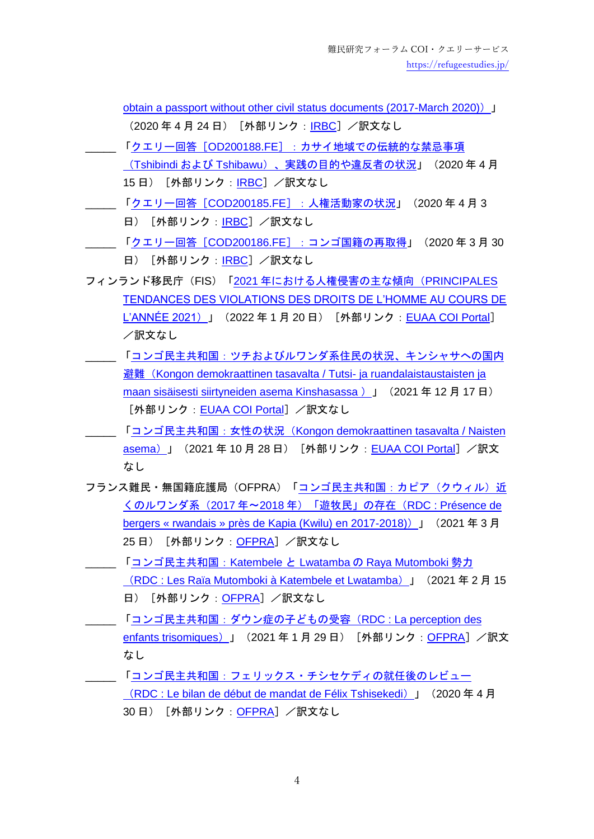[obtain a passport without other civil status documents \(2017-March 2020\)](https://irb-cisr.gc.ca/en/country-information/rir/Pages/index.aspx?doc=458100&pls=1))」 (2020年4月24日) [外部リンク: [IRBC](https://irb-cisr.gc.ca/en/Pages/index.aspx)] /訳文なし \_\_\_\_\_ 「クエリー回答[OD200188.FE[\]:カサイ地域での伝統的な禁忌事項](https://irb-cisr.gc.ca/en/country-information/rir/Pages/index.aspx?doc=458095&pls=1)

- (Tshibindi および Tshibawu[\)、実践の目的や違反者の状況」](https://irb-cisr.gc.ca/en/country-information/rir/Pages/index.aspx?doc=458095&pls=1)(2020 年 4 月 15 日) [外部リンク : [IRBC](https://irb-cisr.gc.ca/en/Pages/index.aspx)] /訳文なし
- \_\_\_\_\_ 「クエリー回答[COD200185.FE[\]:人権活動家の状況」](https://irb-cisr.gc.ca/en/country-information/rir/Pages/index.aspx?doc=458093&pls=1)(2020 年 4 月 3 日) [外部リンク : [IRBC](https://irb-cisr.gc.ca/en/Pages/index.aspx)] /訳文なし
- \_\_\_\_\_ 「クエリー回答[COD200186.FE[\]:コンゴ国籍の再取得」](https://irb-cisr.gc.ca/en/country-information/rir/Pages/index.aspx?doc=458091&pls=1)(2020 年 3 月 30 日) [外部リンク [IRBC](https://irb-cisr.gc.ca/en/Pages/index.aspx)] /訳文なし
- フィンランド移民庁(FIS)「2021 [年における人権侵害の主な傾向\(](https://coi.euaa.europa.eu/administration/finland/PLib/Kongondemokraattinentasavalta_Lubumbashi_386_lopullinen.docx)PRINCIPALES [TENDANCES DES VIOLATIONS DES DROITS DE L'HOMME AU COURS DE](https://coi.euaa.europa.eu/administration/finland/PLib/Kongondemokraattinentasavalta_Lubumbashi_386_lopullinen.docx)  <u>[L'ANNÉE 2021](https://coi.euaa.europa.eu/administration/finland/PLib/Kongondemokraattinentasavalta_Lubumbashi_386_lopullinen.docx)</u>)」(2022 年 1 月 20 日)[外部リンク:[EUAA COI Portal](https://coi.euaa.europa.eu/Pages/home.aspx)] /訳文なし
- [「コンゴ民主共和国:ツチおよびルワンダ系住民の状況、キンシャサへの国内](https://coi.easo.europa.eu/administration/finland/PLib/Kongondemokraattinentasavalta_351_lopullinen.docx) 避難 ([Kongon demokraattinen tasavalta / Tutsi-](https://coi.easo.europa.eu/administration/finland/PLib/Kongondemokraattinentasavalta_351_lopullinen.docx) ja ruandalaistaustaisten ja maan sisäisesti siirtyneiden asema Kinshasassa) J (2021年12月17日) 「外部リンク: [EUAA COI Portal](https://coi.euaa.europa.eu/Pages/home.aspx)」/訳文なし
- \_\_\_\_\_ 「コンゴ民主共和国:女性の状況([Kongon demokraattinen tasavalta / Naisten](https://coi.easo.europa.eu/administration/finland/PLib/Kongondemokraattinentasavalta_naisten_asema_339.docx)  [asema](https://coi.easo.europa.eu/administration/finland/PLib/Kongondemokraattinentasavalta_naisten_asema_339.docx)) 」 (2021年10月28日) [外部リンク: [EUAA COI Portal](https://coi.euaa.europa.eu/Pages/home.aspx)] /訳文 なし
- フランス難民·無国籍庇護局(OFPRA)[「コンゴ民主共和国:カピア\(クウィル\)近](https://www.ofpra.gouv.fr/sites/default/files/atoms/files/2103_cod_bergers_rwandais_2017-2018_152393_web.pdf) くのルワンダ系(2017 年~2018 [年\)「遊牧民」の存在\(](https://www.ofpra.gouv.fr/sites/default/files/atoms/files/2103_cod_bergers_rwandais_2017-2018_152393_web.pdf)RDC : Présence de [bergers « rwandais » près de Kapia \(Kwilu\) en 2017-2018\)](https://www.ofpra.gouv.fr/sites/default/files/atoms/files/2103_cod_bergers_rwandais_2017-2018_152393_web.pdf)) 」 (2021 年 3 月 25日) [外部リンク: [OFPRA](https://www.ofpra.gouv.fr/fr/l-ofpra/nos-publications/les-publications-de-l-ofpra)] /訳文なし
- \_\_\_\_\_ [「コンゴ民主共和国:](https://www.ofpra.gouv.fr/sites/default/files/atoms/files/2102_cod_rm_skivu_katembele_lwatamba_151620_web.pdf)Katembele と Lwatamba の Raya Mutomboki 勢力 ([RDC : Les Raïa Mutomboki à Katembele et Lwatamba](https://www.ofpra.gouv.fr/sites/default/files/atoms/files/2102_cod_rm_skivu_katembele_lwatamba_151620_web.pdf))」(2021 年 2 月 15 日) [外部リンク: [OFPRA](https://www.ofpra.gouv.fr/fr/l-ofpra/nos-publications/les-publications-de-l-ofpra)] /訳文なし
- \_\_ 「<mark>コンゴ民主共和国 : ダウン症の子どもの受容(RDC</mark> : La perception des [enfants trisomiques](https://www.ofpra.gouv.fr/sites/default/files/atoms/files/2004_cod_bilan_mandat_tshisekedi.pdf))」 (2021年1月29日) [外部リンク: [OFPRA](https://www.ofpra.gouv.fr/fr/l-ofpra/nos-publications/les-publications-de-l-ofpra)] /訳文 なし
- \_\_\_\_\_ [「コンゴ民主共和国:フェリックス・チシセケディの就任後のレビュー](https://www.ofpra.gouv.fr/sites/default/files/atoms/files/2004_cod_bilan_mandat_tshisekedi.pdf) ([RDC : Le bilan de début de mandat de Félix Tshisekedi](https://www.ofpra.gouv.fr/sites/default/files/atoms/files/2004_cod_bilan_mandat_tshisekedi.pdf))」(2020 年 4 月 30日) [外部リンク: [OFPRA](https://www.ofpra.gouv.fr/fr/l-ofpra/nos-publications/les-publications-de-l-ofpra)] /訳文なし